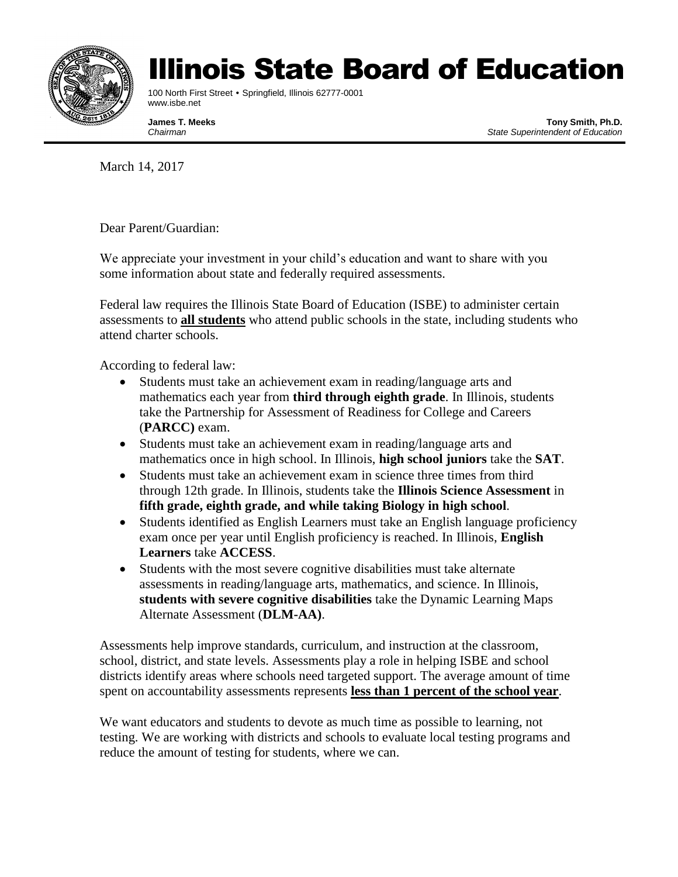

## Illinois State Board of Education

100 North First Street • Springfield, Illinois 62777-0001 www.isbe.net

**James T. Meeks Tony Smith, Ph.D.** *Chairman State Superintendent of Education*

March 14, 2017

Dear Parent/Guardian:

We appreciate your investment in your child's education and want to share with you some information about state and federally required assessments.

Federal law requires the Illinois State Board of Education (ISBE) to administer certain assessments to **all students** who attend public schools in the state, including students who attend charter schools.

According to federal law:

- Students must take an achievement exam in reading/language arts and mathematics each year from **third through eighth grade**. In Illinois, students take the Partnership for Assessment of Readiness for College and Careers (**PARCC)** exam.
- Students must take an achievement exam in reading/language arts and mathematics once in high school. In Illinois, **high school juniors** take the **SAT**.
- Students must take an achievement exam in science three times from third through 12th grade. In Illinois, students take the **Illinois Science Assessment** in **fifth grade, eighth grade, and while taking Biology in high school**.
- Students identified as English Learners must take an English language proficiency exam once per year until English proficiency is reached. In Illinois, **English Learners** take **ACCESS**.
- Students with the most severe cognitive disabilities must take alternate assessments in reading/language arts, mathematics, and science. In Illinois, **students with severe cognitive disabilities** take the Dynamic Learning Maps Alternate Assessment (**DLM-AA)**.

Assessments help improve standards, curriculum, and instruction at the classroom, school, district, and state levels. Assessments play a role in helping ISBE and school districts identify areas where schools need targeted support. The average amount of time spent on accountability assessments represents **less than 1 percent of the school year**.

We want educators and students to devote as much time as possible to learning, not testing. We are working with districts and schools to evaluate local testing programs and reduce the amount of testing for students, where we can.